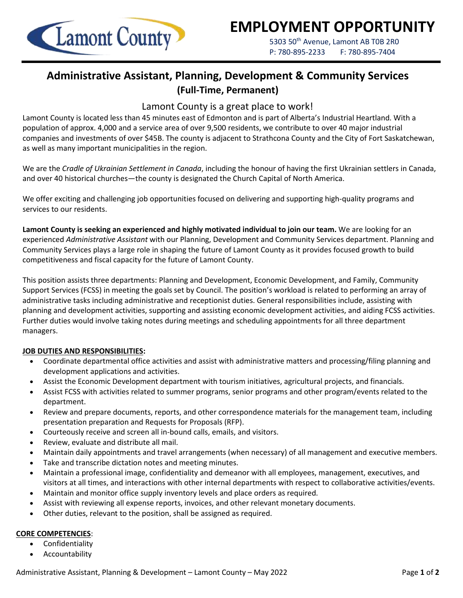

# **EMPLOYMENT OPPORTUNITY**

5303 50<sup>th</sup> Avenue, Lamont AB T0B 2R0 P: 780-895-2233 F: 780-895-7404

## **Administrative Assistant, Planning, Development & Community Services (Full-Time, Permanent)**

## Lamont County is a great place to work!

Lamont County is located less than 45 minutes east of Edmonton and is part of Alberta's Industrial Heartland. With a population of approx. 4,000 and a service area of over 9,500 residents, we contribute to over 40 major industrial companies and investments of over \$45B. The county is adjacent to Strathcona County and the City of Fort Saskatchewan, as well as many important municipalities in the region.

We are the *Cradle of Ukrainian Settlement in Canada*, including the honour of having the first Ukrainian settlers in Canada, and over 40 historical churches—the county is designated the Church Capital of North America.

We offer exciting and challenging job opportunities focused on delivering and supporting high-quality programs and services to our residents.

**Lamont County is seeking an experienced and highly motivated individual to join our team.** We are looking for an experienced *Administrative Assistant* with our Planning, Development and Community Services department. Planning and Community Services plays a large role in shaping the future of Lamont County as it provides focused growth to build competitiveness and fiscal capacity for the future of Lamont County.

This position assists three departments: Planning and Development, Economic Development, and Family, Community Support Services (FCSS) in meeting the goals set by Council. The position's workload is related to performing an array of administrative tasks including administrative and receptionist duties. General responsibilities include, assisting with planning and development activities, supporting and assisting economic development activities, and aiding FCSS activities. Further duties would involve taking notes during meetings and scheduling appointments for all three department managers.

## **JOB DUTIES AND RESPONSIBILITIES:**

- Coordinate departmental office activities and assist with administrative matters and processing/filing planning and development applications and activities.
- Assist the Economic Development department with tourism initiatives, agricultural projects, and financials.
- Assist FCSS with activities related to summer programs, senior programs and other program/events related to the department.
- Review and prepare documents, reports, and other correspondence materials for the management team, including presentation preparation and Requests for Proposals (RFP).
- Courteously receive and screen all in-bound calls, emails, and visitors.
- Review, evaluate and distribute all mail.
- Maintain daily appointments and travel arrangements (when necessary) of all management and executive members.
- Take and transcribe dictation notes and meeting minutes.
- Maintain a professional image, confidentiality and demeanor with all employees, management, executives, and visitors at all times, and interactions with other internal departments with respect to collaborative activities/events.
- Maintain and monitor office supply inventory levels and place orders as required.
- Assist with reviewing all expense reports, invoices, and other relevant monetary documents.
- Other duties, relevant to the position, shall be assigned as required.

#### **CORE COMPETENCIES**:

- **Confidentiality**
- Accountability